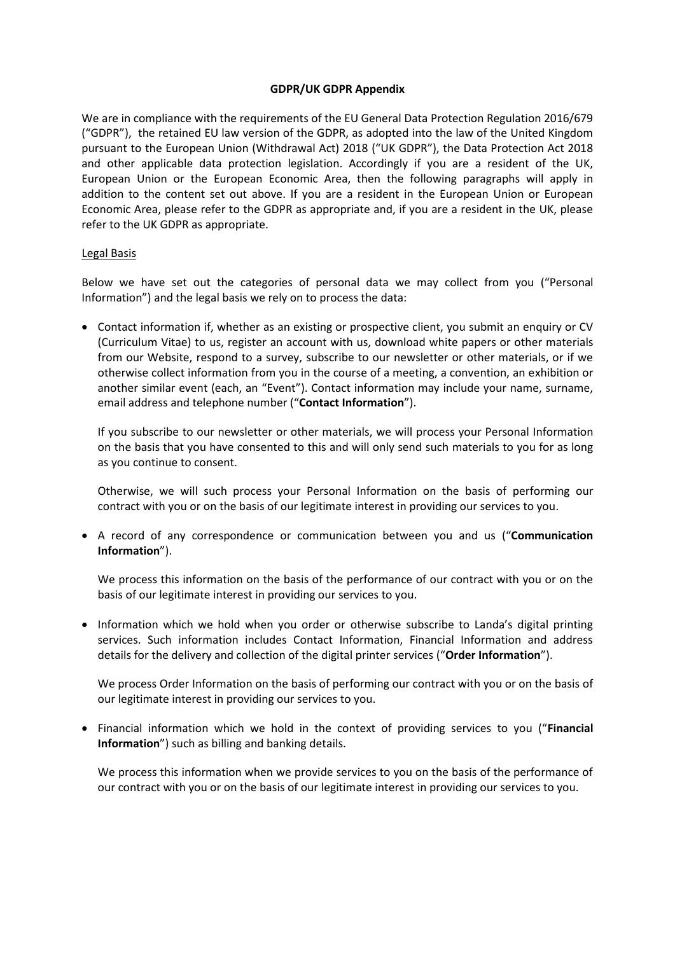#### **GDPR/UK GDPR Appendix**

We are in compliance with the requirements of the EU General Data Protection Regulation 2016/679 ("GDPR"), the retained EU law version of the GDPR, as adopted into the law of the United Kingdom pursuant to the European Union (Withdrawal Act) 2018 ("UK GDPR"), the Data Protection Act 2018 and other applicable data protection legislation. Accordingly if you are a resident of the UK, European Union or the European Economic Area, then the following paragraphs will apply in addition to the content set out above. If you are a resident in the European Union or European Economic Area, please refer to the GDPR as appropriate and, if you are a resident in the UK, please refer to the UK GDPR as appropriate.

#### Legal Basis

Below we have set out the categories of personal data we may collect from you ("Personal Information") and the legal basis we rely on to process the data:

 Contact information if, whether as an existing or prospective client, you submit an enquiry or CV (Curriculum Vitae) to us, register an account with us, download white papers or other materials from our Website, respond to a survey, subscribe to our newsletter or other materials, or if we otherwise collect information from you in the course of a meeting, a convention, an exhibition or another similar event (each, an "Event"). Contact information may include your name, surname, email address and telephone number ("**Contact Information**").

If you subscribe to our newsletter or other materials, we will process your Personal Information on the basis that you have consented to this and will only send such materials to you for as long as you continue to consent.

Otherwise, we will such process your Personal Information on the basis of performing our contract with you or on the basis of our legitimate interest in providing our services to you.

 A record of any correspondence or communication between you and us ("**Communication Information**").

We process this information on the basis of the performance of our contract with you or on the basis of our legitimate interest in providing our services to you.

• Information which we hold when you order or otherwise subscribe to Landa's digital printing services. Such information includes Contact Information, Financial Information and address details for the delivery and collection of the digital printer services ("**Order Information**").

We process Order Information on the basis of performing our contract with you or on the basis of our legitimate interest in providing our services to you.

 Financial information which we hold in the context of providing services to you ("**Financial Information**") such as billing and banking details.

We process this information when we provide services to you on the basis of the performance of our contract with you or on the basis of our legitimate interest in providing our services to you.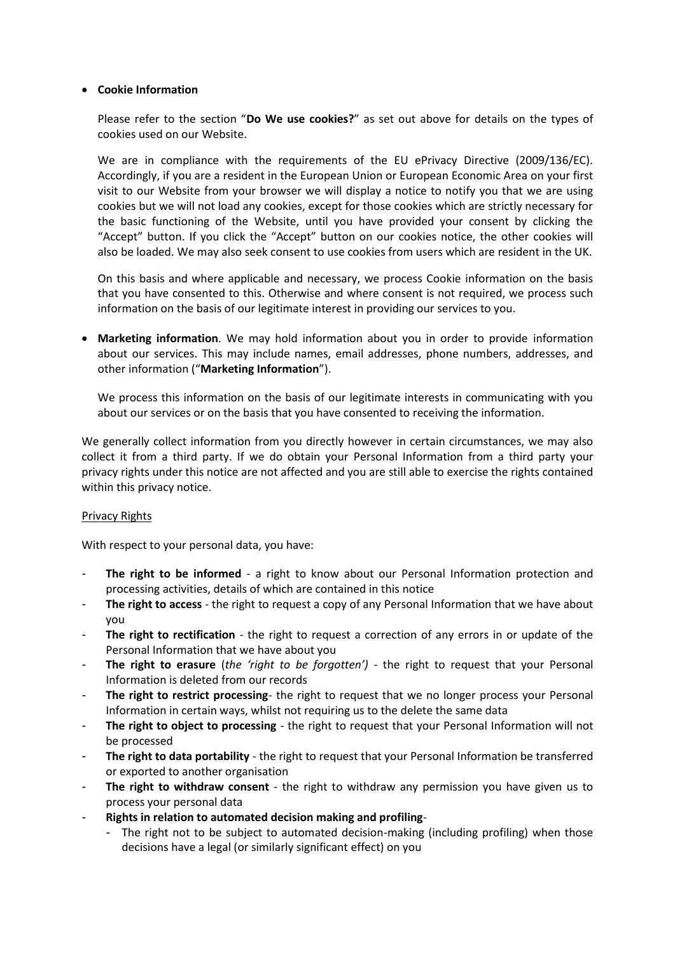## **Cookie Information**

Please refer to the section "**Do We use cookies?**" as set out above for details on the types of cookies used on our Website.

We are in compliance with the requirements of the EU ePrivacy Directive (2009/136/EC). Accordingly, if you are a resident in the European Union or European Economic Area on your first visit to our Website from your browser we will display a notice to notify you that we are using cookies but we will not load any cookies, except for those cookies which are strictly necessary for the basic functioning of the Website, until you have provided your consent by clicking the "Accept" button. If you click the "Accept" button on our cookies notice, the other cookies will also be loaded. We may also seek consent to use cookies from users which are resident in the UK.

On this basis and where applicable and necessary, we process Cookie information on the basis that you have consented to this. Otherwise and where consent is not required, we process such information on the basis of our legitimate interest in providing our services to you.

 **Marketing information**. We may hold information about you in order to provide information about our services. This may include names, email addresses, phone numbers, addresses, and other information ("**Marketing Information**").

We process this information on the basis of our legitimate interests in communicating with you about our services or on the basis that you have consented to receiving the information.

We generally collect information from you directly however in certain circumstances, we may also collect it from a third party. If we do obtain your Personal Information from a third party your privacy rights under this notice are not affected and you are still able to exercise the rights contained within this privacy notice.

## Privacy Rights

With respect to your personal data, you have:

- **The right to be informed** a right to know about our Personal Information protection and processing activities, details of which are contained in this notice
- *-* **The right to access** the right to request a copy of any Personal Information that we have about you
- **The right to rectification** the right to request a correction of any errors in or update of the Personal Information that we have about you
- *-* **The right to erasure** (*the 'right to be forgotten')* the right to request that your Personal Information is deleted from our records
- *-* **The right to restrict processing***-* the right to request that we no longer process your Personal Information in certain ways, whilst not requiring us to the delete the same data
- *-* **The right to object to processing** the right to request that your Personal Information will not be processed
- *-* **The right to data portability** the right to request that your Personal Information be transferred or exported to another organisation
- *-* **The right to withdraw consent**  the right to withdraw any permission you have given us to process your personal data
- *-* **Rights in relation to automated decision making and profiling**
	- *-* The right not to be subject to automated decision-making (including profiling) when those decisions have a legal (or similarly significant effect) on you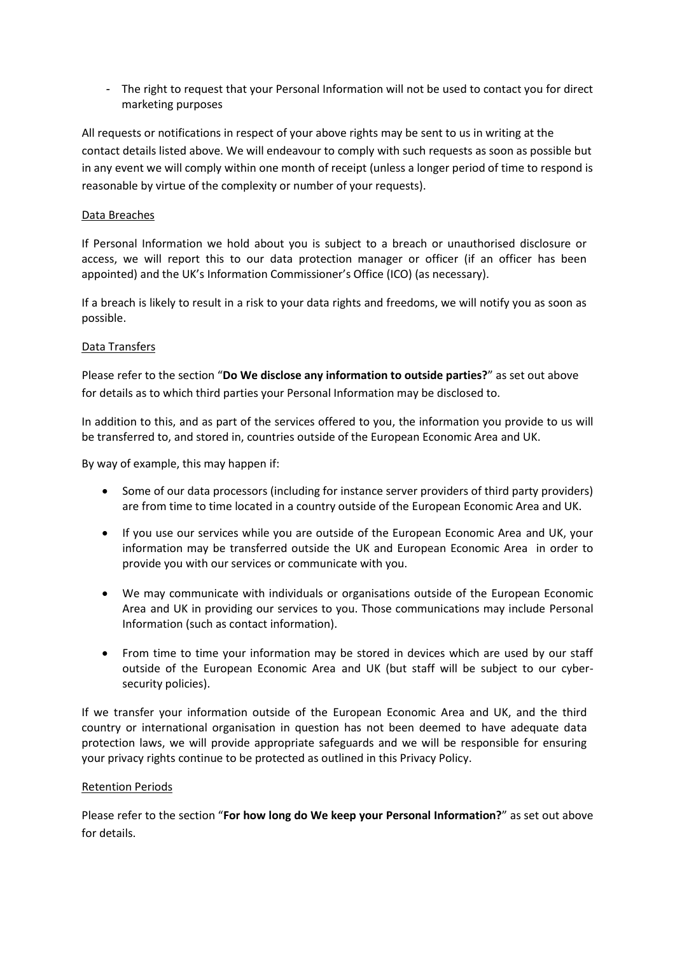*-* The right to request that your Personal Information will not be used to contact you for direct marketing purposes

All requests or notifications in respect of your above rights may be sent to us in writing at the contact details listed above. We will endeavour to comply with such requests as soon as possible but in any event we will comply within one month of receipt (unless a longer period of time to respond is reasonable by virtue of the complexity or number of your requests).

## Data Breaches

If Personal Information we hold about you is subject to a breach or unauthorised disclosure or access, we will report this to our data protection manager or officer (if an officer has been appointed) and the UK's Information Commissioner's Office (ICO) (as necessary).

If a breach is likely to result in a risk to your data rights and freedoms, we will notify you as soon as possible.

# Data Transfers

Please refer to the section "**Do We disclose any information to outside parties?**" as set out above for details as to which third parties your Personal Information may be disclosed to.

In addition to this, and as part of the services offered to you, the information you provide to us will be transferred to, and stored in, countries outside of the European Economic Area and UK.

By way of example, this may happen if:

- Some of our data processors (including for instance server providers of third party providers) are from time to time located in a country outside of the European Economic Area and UK.
- If you use our services while you are outside of the European Economic Area and UK, your information may be transferred outside the UK and European Economic Area in order to provide you with our services or communicate with you.
- We may communicate with individuals or organisations outside of the European Economic Area and UK in providing our services to you. Those communications may include Personal Information (such as contact information).
- From time to time your information may be stored in devices which are used by our staff outside of the European Economic Area and UK (but staff will be subject to our cybersecurity policies).

If we transfer your information outside of the European Economic Area and UK, and the third country or international organisation in question has not been deemed to have adequate data protection laws, we will provide appropriate safeguards and we will be responsible for ensuring your privacy rights continue to be protected as outlined in this Privacy Policy.

## Retention Periods

Please refer to the section "**For how long do We keep your Personal Information?**" as set out above for details.